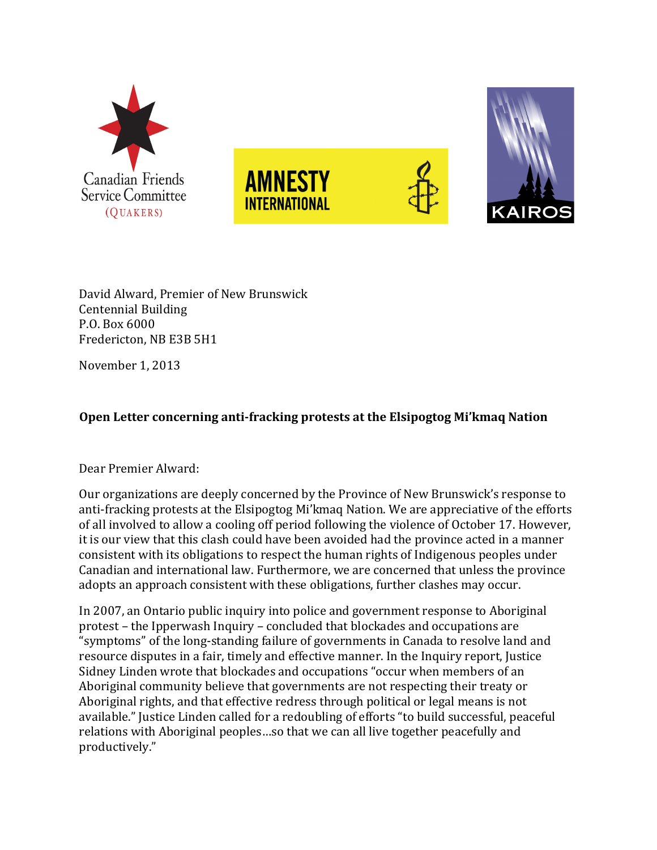

David Alward, Premier of New Brunswick Centennial Building P.O. Box 6000 Fredericton, NB E3B 5H1

November 1, 2013

## **Open Letter concerning anti-fracking protests at the Elsipogtog Mi'kmaq Nation**

## Dear Premier Alward:

Our organizations are deeply concerned by the Province of New Brunswick's response to anti-fracking protests at the Elsipogtog Mi'kmaq Nation. We are appreciative of the efforts of all involved to allow a cooling off period following the violence of October 17. However, it is our view that this clash could have been avoided had the province acted in a manner consistent with its obligations to respect the human rights of Indigenous peoples under Canadian and international law. Furthermore, we are concerned that unless the province adopts an approach consistent with these obligations, further clashes may occur.

In 2007, an Ontario public inquiry into police and government response to Aboriginal protest – the Ipperwash Inquiry – concluded that blockades and occupations are "symptoms" of the long-standing failure of governments in Canada to resolve land and resource disputes in a fair, timely and effective manner. In the Inquiry report, Justice Sidney Linden wrote that blockades and occupations "occur when members of an Aboriginal community believe that governments are not respecting their treaty or Aboriginal rights, and that effective redress through political or legal means is not available." Justice Linden called for a redoubling of efforts "to build successful, peaceful relations with Aboriginal peoples...so that we can all live together peacefully and productively."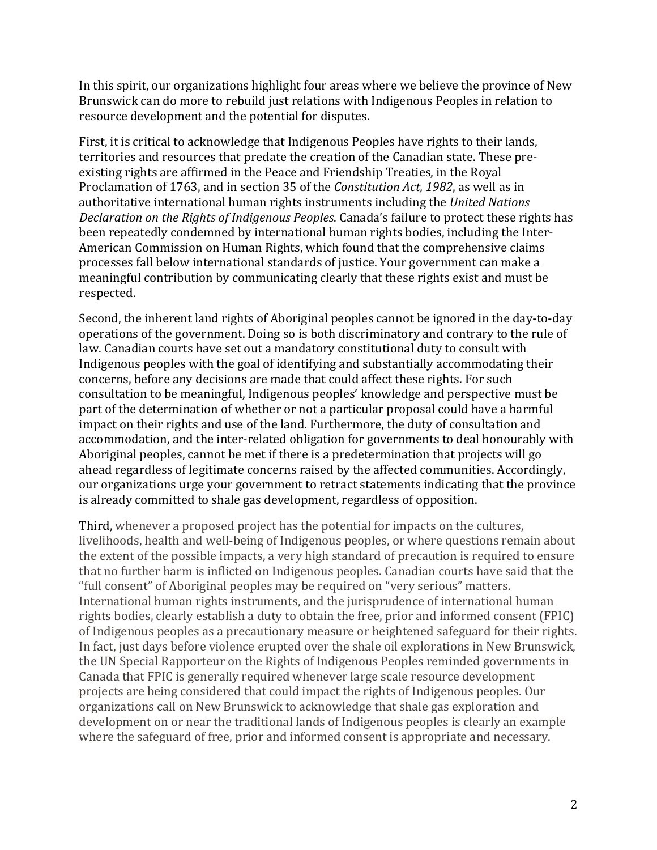In this spirit, our organizations highlight four areas where we believe the province of New Brunswick can do more to rebuild just relations with Indigenous Peoples in relation to resource development and the potential for disputes.

First, it is critical to acknowledge that Indigenous Peoples have rights to their lands, territories and resources that predate the creation of the Canadian state. These preexisting rights are affirmed in the Peace and Friendship Treaties, in the Royal Proclamation of 1763, and in section 35 of the *Constitution Act*, 1982, as well as in authoritative international human rights instruments including the *United Nations Declaration on the Rights of Indigenous Peoples.* Canada's failure to protect these rights has been repeatedly condemned by international human rights bodies, including the Inter-American Commission on Human Rights, which found that the comprehensive claims processes fall below international standards of justice. Your government can make a meaningful contribution by communicating clearly that these rights exist and must be respected.

Second, the inherent land rights of Aboriginal peoples cannot be ignored in the day-to-day operations of the government. Doing so is both discriminatory and contrary to the rule of law. Canadian courts have set out a mandatory constitutional duty to consult with Indigenous peoples with the goal of identifying and substantially accommodating their concerns, before any decisions are made that could affect these rights. For such consultation to be meaningful, Indigenous peoples' knowledge and perspective must be part of the determination of whether or not a particular proposal could have a harmful impact on their rights and use of the land. Furthermore, the duty of consultation and accommodation, and the inter-related obligation for governments to deal honourably with Aboriginal peoples, cannot be met if there is a predetermination that projects will go ahead regardless of legitimate concerns raised by the affected communities. Accordingly, our organizations urge your government to retract statements indicating that the province is already committed to shale gas development, regardless of opposition.

Third, whenever a proposed project has the potential for impacts on the cultures, livelihoods, health and well-being of Indigenous peoples, or where questions remain about the extent of the possible impacts, a very high standard of precaution is required to ensure that no further harm is inflicted on Indigenous peoples. Canadian courts have said that the "full consent" of Aboriginal peoples may be required on "very serious" matters. International human rights instruments, and the jurisprudence of international human rights bodies, clearly establish a duty to obtain the free, prior and informed consent (FPIC) of Indigenous peoples as a precautionary measure or heightened safeguard for their rights. In fact, just days before violence erupted over the shale oil explorations in New Brunswick, the UN Special Rapporteur on the Rights of Indigenous Peoples reminded governments in Canada that FPIC is generally required whenever large scale resource development projects are being considered that could impact the rights of Indigenous peoples. Our organizations call on New Brunswick to acknowledge that shale gas exploration and development on or near the traditional lands of Indigenous peoples is clearly an example where the safeguard of free, prior and informed consent is appropriate and necessary.